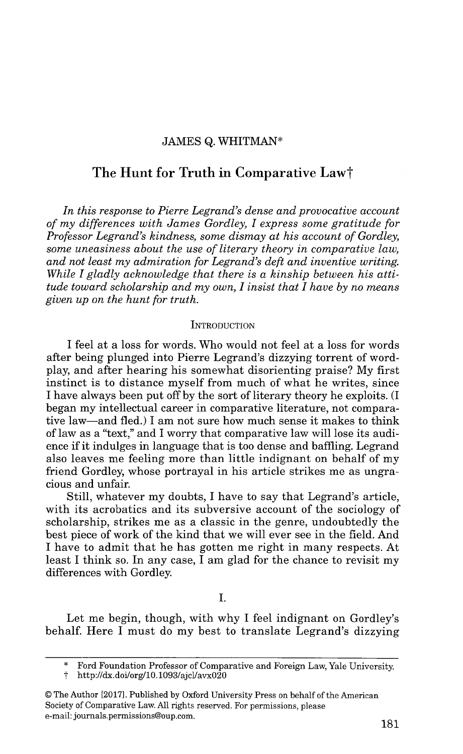## JAMES **Q.** WHITMAN\*

# **The Hunt for Truth in Comparative Lawt**

*In this response to Pierre Legrand's dense and provocative account of my differences with James Gordley, I express some gratitude for Professor Legrand's kindness, some dismay at his account of Gordley, some uneasiness about the use of literary theory in comparative law, and not least my admiration for Legrand's deft and inventive writing. While I gladly acknowledge that there is a kinship between his attitude toward scholarship and my own, I insist that I have by no means given up on the hunt for truth.*

#### **INTRODUCTION**

I feel at a loss for words. Who would not feel at a loss for words after being plunged into Pierre Legrand's dizzying torrent of wordplay, and after hearing his somewhat disorienting praise? My first instinct is to distance myself from much of what he writes, since I have always been put off by the sort of literary theory he exploits. (I began my intellectual career in comparative literature, not comparative law-and fled.) I am not sure how much sense it makes to think of law as a "text," and I worry that comparative law will lose its audience if it indulges in language that is too dense and baffling. Legrand also leaves me feeling more than little indignant on behalf of my friend Gordley, whose portrayal in his article strikes me as ungracious and unfair.

Still, whatever my doubts, I have to say that Legrand's article, with its acrobatics and its subversive account of the sociology of scholarship, strikes me as a classic in the genre, undoubtedly the best piece of work of the kind that we will ever see in the field. And I have to admit that he has gotten me right in many respects. At least I think so. In any case, I am glad for the chance to revisit my differences with Gordley.

I.

Let me begin, though, with why I feel indignant on Gordley's behalf. Here I must do my best to translate Legrand's dizzying

© The Author [2017]. Published by Oxford University Press on behalf of the American Society of Comparative Law. All rights reserved. For permissions, please e-mail: journals.permissions@oup.com.

Ford Foundation Professor of Comparative and Foreign Law, Yale University.

t http://dx.doi/org/10.1093/ajcl/avxO20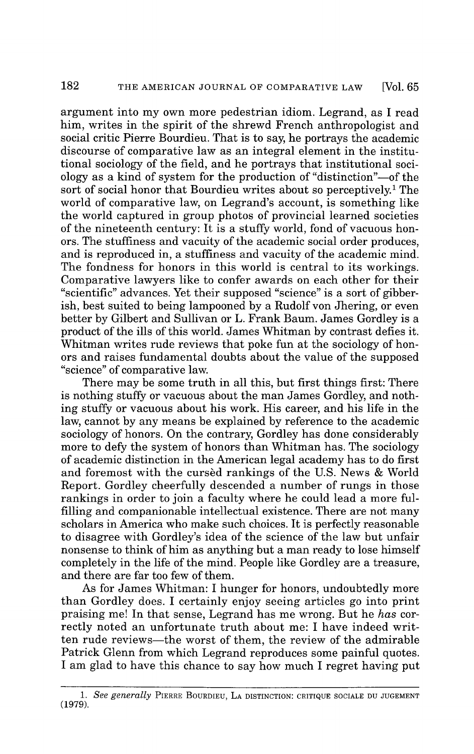argument into my own more pedestrian idiom. Legrand, as I read him, writes in the spirit of the shrewd French anthropologist and social critic Pierre Bourdieu. That is to say, he portrays the academic discourse of comparative law as an integral element in the institutional sociology of the field, and he portrays that institutional sociology as a kind of system for the production of "distinction"-of the sort of social honor that Bourdieu writes about so perceptively.<sup>1</sup> The world of comparative law, on Legrand's account, is something like the world captured in group photos of provincial learned societies of the nineteenth century: It is a stuffy world, fond of vacuous honors. The stuffiness and vacuity of the academic social order produces, and is reproduced in, a stuffiness and vacuity of the academic mind. The fondness for honors in this world is central to its workings. Comparative lawyers like to confer awards on each other for their "scientific" advances. Yet their supposed "science" is a sort of gibberish, best suited to being lampooned by a Rudolf von Jhering, or even better by Gilbert and Sullivan or L. Frank Baum. James Gordley is a product of the ills of this world. James Whitman by contrast defies it. Whitman writes rude reviews that poke fun at the sociology of honors and raises fundamental doubts about the value of the supposed "science" of comparative law.

There may be some truth in all this, but first things first: There is nothing stuffy or vacuous about the man James Gordley, and nothing stuffy or vacuous about his work. His career, and his life in the law, cannot by any means be explained by reference to the academic sociology of honors. On the contrary, Gordley has done considerably more to defy the system of honors than Whitman has. The sociology of academic distinction in the American legal academy has to do first and foremost with the cursed rankings of the U.S. News & World Report. Gordley cheerfully descended a number of rungs in those rankings in order to join a faculty where he could lead a more fulfilling and companionable intellectual existence. There are not many scholars in America who make such choices. It is perfectly reasonable to disagree with Gordley's idea of the science of the law but unfair nonsense to think of him as anything but a man ready to lose himself completely in the life of the mind. People like Gordley are a treasure, and there are far too few of them.

As for James Whitman: I hunger for honors, undoubtedly more than Gordley does. I certainly enjoy seeing articles go into print praising me! In that sense, Legrand has me wrong. But he *has* correctly noted an unfortunate truth about me: I have indeed written rude reviews-the worst of them, the review of the admirable Patrick Glenn from which Legrand reproduces some painful quotes. I am glad to have this chance to say how much I regret having put

*<sup>1.</sup> See generally* PIERRE BOURDIEU, **LA** DISTINCTION: CRITIQUE SOCIALE DU JUGEMENT **(1979).**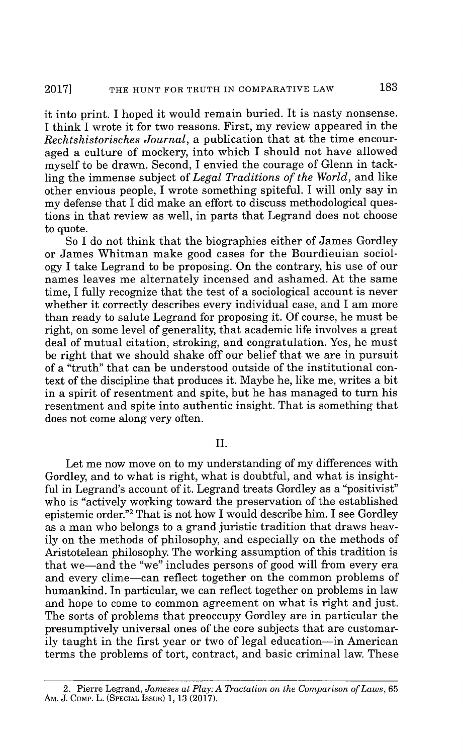it into print. I hoped it would remain buried. It is nasty nonsense. I think I wrote it for two reasons. First, my review appeared in the *Rechtshistorisches Journal,* a publication that at the time encouraged a culture of mockery, into which I should not have allowed myself to be drawn. Second, I envied the courage of Glenn in tackling the immense subject of *Legal Traditions of the World,* and like other envious people, I wrote something spiteful. I will only say in my defense that I did make an effort to discuss methodological questions in that review as well, in parts that Legrand does not choose to quote.

So I do not think that the biographies either of James Gordley or James Whitman make good cases for the Bourdieuian sociology I take Legrand to be proposing. On the contrary, his use of our names leaves me alternately incensed and ashamed. At the same time, I fully recognize that the test of a sociological account is never whether it correctly describes every individual case, and I am more than ready to salute Legrand for proposing it. Of course, he must be right, on some level of generality, that academic life involves a great deal of mutual citation, stroking, and congratulation. Yes, he must be right that we should shake off our belief that we are in pursuit of a "truth" that can be understood outside of the institutional context of the discipline that produces it. Maybe he, like me, writes a bit in a spirit of resentment and spite, but he has managed to turn his resentment and spite into authentic insight. That is something that does not come along very often.

# II.

Let me now move on to my understanding of my differences with Gordley, and to what is right, what is doubtful, and what is insightful in Legrand's account of it. Legrand treats Gordley as a "positivist" who is "actively working toward the preservation of the established epistemic order."<sup>2</sup>That is not how I would describe him. I see Gordley as a man who belongs to a grand juristic tradition that draws heavily on the methods of philosophy, and especially on the methods of Aristotelean philosophy. The working assumption of this tradition is that we-and the "we" includes persons of good will from every era and every clime-can reflect together on the common problems of humankind. In particular, we can reflect together on problems in law and hope to come to common agreement on what is right and just. The sorts of problems that preoccupy Gordley are in particular the presumptively universal ones of the core subjects that are customarily taught in the first year or two of legal education—in American terms the problems of tort, contract, and basic criminal law. These

<sup>2.</sup> Pierre Legrand, *Jameses at Play: A Tractation on the Comparison of Laws,* 65 Am. J. COMP. L. (SPECIAL ISSUE) 1, 13 (2017).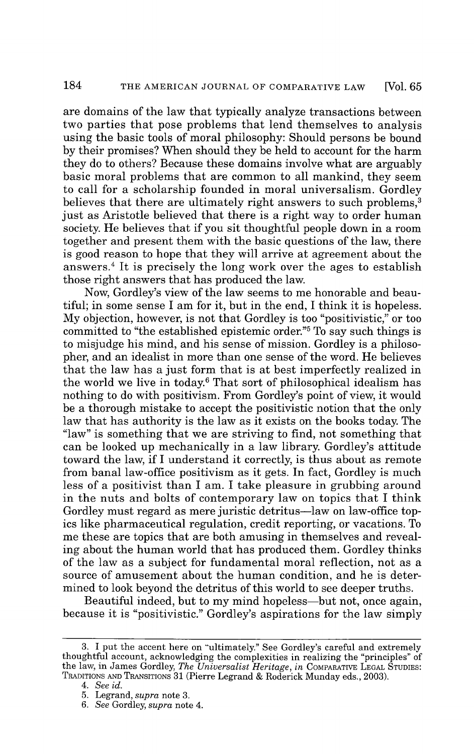are domains of the law that typically analyze transactions between two parties that pose problems that lend themselves to analysis using the basic tools of moral philosophy: Should persons be bound by their promises? When should they be held to account for the harm they do to others? Because these domains involve what are arguably basic moral problems that are common to all mankind, they seem to call for a scholarship founded in moral universalism. Gordley believes that there are ultimately right answers to such problems.<sup>3</sup> just as Aristotle believed that there is a right way to order human society. He believes that if you sit thoughtful people down in a room together and present them with the basic questions of the law, there is good reason to hope that they will arrive at agreement about the answers. <sup>4</sup>It is precisely the long work over the ages to establish those right answers that has produced the law.

Now, Gordley's view of the law seems to me honorable and beautiful; in some sense I am for it, but in the end, I think it is hopeless. My objection, however, is not that Gordley is too "positivistic," or too committed to "the established epistemic order."<sup>5</sup>To say such things is to misjudge his mind, and his sense of mission. Gordley is a philosopher, and an idealist in more than one sense of the word. He believes that the law has a just form that is at best imperfectly realized in the world we live in today.6 That sort of philosophical idealism has nothing to do with positivism. From Gordley's point of view, it would be a thorough mistake to accept the positivistic notion that the only law that has authority is the law as it exists on the books today. The "law" is something that we are striving to find, not something that can be looked up mechanically in a law library. Gordley's attitude toward the law, if I understand it correctly, is thus about as remote from banal law-office positivism as it gets. In fact, Gordley is much less of a positivist than I am. I take pleasure in grubbing around in the nuts and bolts of contemporary law on topics that I think Gordley must regard as mere juristic detritus-law on law-office topics like pharmaceutical regulation, credit reporting, or vacations. To me these are topics that are both amusing in themselves and revealing about the human world that has produced them. Gordley thinks of the law as a subject for fundamental moral reflection, not as a source of amusement about the human condition, and he is determined to look beyond the detritus of this world to see deeper truths.

Beautiful indeed, but to my mind hopeless-but not, once again, because it is "positivistic." Gordley's aspirations for the law simply

<sup>3.</sup> I put the accent here on "ultimately." See Gordley's careful and extremely thoughtful account, acknowledging the complexities in realizing the "principles" of the law, in James Gordley, *The Universalist Heritage, in* COMPARATIVE LEGAL STUDIES: TRADITIONS **AND** TRANSITIONS 31 (Pierre Legrand & Roderick Munday eds., 2003).

*<sup>4.</sup> See id.*

<sup>5.</sup> Legrand, *supra* note 3.

*<sup>6.</sup> See* Gordley, *supra* note 4.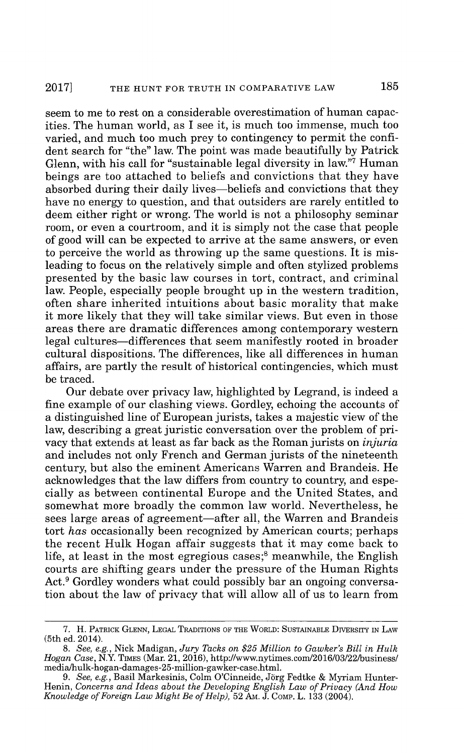seem to me to rest on a considerable overestimation of human capacities. The human world, as I see it, is much too immense, much too varied, and much too much prey to contingency to permit the confident search for "the" law. The point was made beautifully by Patrick Glenn, with his call for "sustainable legal diversity in law."<sup>7</sup> Human beings are too attached to beliefs and convictions that they have absorbed during their daily lives-beliefs and convictions that they have no energy to question, and that outsiders are rarely entitled to deem either right or wrong. The world is not a philosophy seminar room, or even a courtroom, and it is simply not the case that people of good will can be expected to arrive at the same answers, or even to perceive the world as throwing up the same questions. It is misleading to focus on the relatively simple and often stylized problems presented by the basic law courses in tort, contract, and criminal law. People, especially people brought up in the western tradition, often share inherited intuitions about basic morality that make it more likely that they will take similar views. But even in those areas there are dramatic differences among contemporary western legal cultures—differences that seem manifestly rooted in broader cultural dispositions. The differences, like all differences in human affairs, are partly the result of historical contingencies, which must be traced.

Our debate over privacy law, highlighted by Legrand, is indeed a fine example of our clashing views. Gordley, echoing the accounts of a distinguished line of European jurists, takes a majestic view of the law, describing a great juristic conversation over the problem of privacy that extends at least as far back as the Roman jurists on *injuria* and includes not only French and German jurists of the nineteenth century, but also the eminent Americans Warren and Brandeis. He acknowledges that the law differs from country to country, and especially as between continental Europe and the United States, and somewhat more broadly the common law world. Nevertheless, he sees large areas of agreement—after all, the Warren and Brandeis tort *has* occasionally been recognized by American courts; perhaps the recent Hulk Hogan affair suggests that it may come back to life, at least in the most egregious cases; $<sup>8</sup>$  meanwhile, the English</sup> courts are shifting gears under the pressure of the Human Rights Act.<sup>9</sup> Gordley wonders what could possibly bar an ongoing conversation about the law of privacy that will allow all of us to learn from

<sup>7.</sup> H. PATRICK **GLENN, LEGAL** TRADITIONS OF THE WORLD: **SUSTAINABLE** DIVERSiTY IN LAW (5th ed. 2014).

*<sup>8.</sup>* See, *e.g.,* Nick Madigan, *Jury Tacks on \$25 Million to Gawker's Bill in Hulk*  $Hogan Case$ ,  $\overline{\text{N.Y.}}$  Times (Mar. 21, 2016), http://www.nytimes.com/2016/03/22/business media/hulk-hogan-damages-25-million-gawker-case.html.

<sup>9.</sup> See, e.g., Basil Markesinis, Colm O'Cinneide, Jörg Fedtke & Myriam Hunter-Henin, *Concerns and Ideas about the Developing English Law of Privacy (And How Knowledge of Foreign Law Might Be of Help),* 52 AM. J. COMP. L. 133 (2004).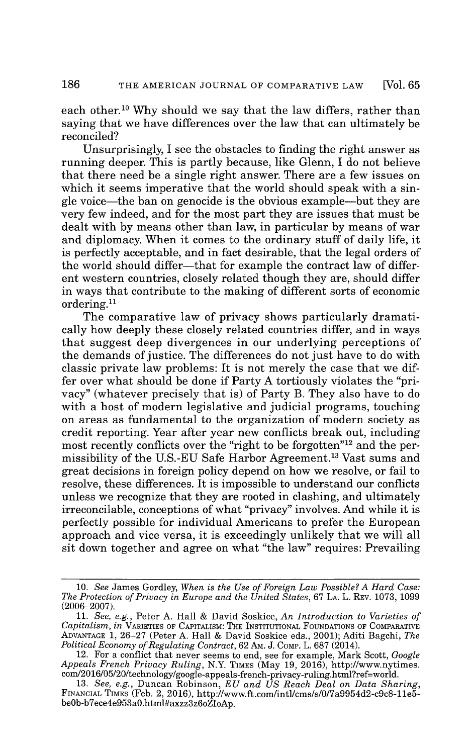each other.<sup>10</sup> Why should we say that the law differs, rather than saying that we have differences over the law that can ultimately be reconciled?

Unsurprisingly, I see the obstacles to finding the right answer as running deeper. This is partly because, like Glenn, I do not believe that there need be a single right answer. There are a few issues on which it seems imperative that the world should speak with a single voice-the ban on genocide is the obvious example-but they are very few indeed, and for the most part they are issues that must be dealt with by means other than law, in particular by means of war and diplomacy. When it comes to the ordinary stuff of daily life, it is perfectly acceptable, and in fact desirable, that the legal orders of the world should differ—that for example the contract law of different western countries, closely related though they are, should differ in ways that contribute to the making of different sorts of economic ordering.<sup>11</sup>

The comparative law of privacy shows particularly dramatically how deeply these closely related countries differ, and in ways that suggest deep divergences in our underlying perceptions of the demands of justice. The differences do not just have to do with classic private law problems: It is not merely the case that we differ over what should be done if Party A tortiously violates the "privacy" (whatever precisely that is) of Party B. They also have to do with a host of modern legislative and judicial programs, touching on areas as fundamental to the organization of modern society as credit reporting. Year after year new conflicts break out, including most recently conflicts over the "right to be forgotten"<sup>12</sup> and the permissibility of the U.S.-EU Safe Harbor Agreement.<sup>13</sup> Vast sums and great decisions in foreign policy depend on how we resolve, or fail to resolve, these differences. It is impossible to understand our conflicts unless we recognize that they are rooted in clashing, and ultimately irreconcilable, conceptions of what "privacy" involves. And while it is perfectly possible for individual Americans to prefer the European approach and vice versa, it is exceedingly unlikely that we will all sit down together and agree on what "the law" requires: Prevailing

<sup>10.</sup> See James Gordley, *When is the Use of Foreign Law Possible? A Hard Case: The Protection of Privacy in Europe and the United States,* 67 LA. L. REV. 1073, 1099 (2006-2007).

<sup>11.</sup> *See, e.g.,* Peter A. Hall & David Soskice, *An Introduction to Varieties of Capitalism, in* VARIETIES OF CAPITALISM: THE INSTITUTIONAL FOUNDATIONS OF COMPARATIVE ADVANTAGE 1, 26-27 (Peter A. Hall & David Soskice eds., 2001); Aditi Bagchi, *The Political Economy of Regulating Contract,* 62 AM. J. COMp. L. 687 (2014).

<sup>12.</sup> For a conflict that never seems to end, see for example, Mark Scott, *Google Appeals French Privacy Ruling,* N.Y. TIMES (May 19, 2016), http://www.nytimes. com/2016/05/20/technology/google-appeals-french-privacy-ruling.html?ref=worl

<sup>13.</sup> *See, e.g.,* Duncan Robinson, *EU and US Reach Deal on Data Sharing,* FINANCIAL TIMES (Feb. 2, 2016), http://www.ft.com/intl/cms/s/0/7a9954d2-c9c8-11e5 be0b-b7ece4e953aO.html#axzz3z6oZIoAp.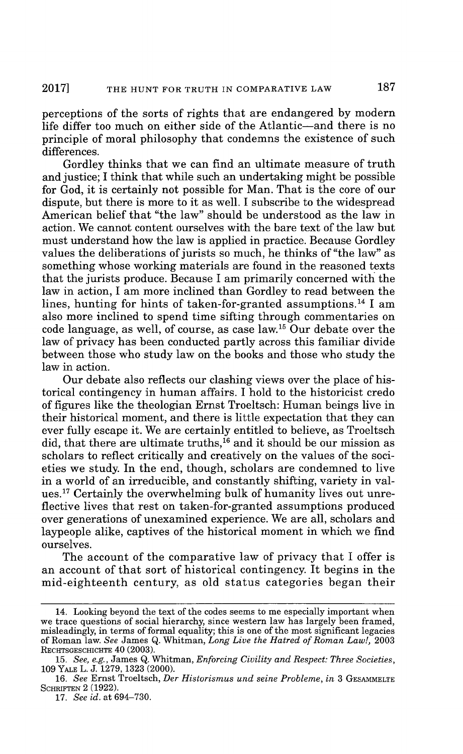perceptions of the sorts of rights that are endangered by modern life differ too much on either side of the Atlantic—and there is no principle of moral philosophy that condemns the existence of such differences.

Gordley thinks that we can find an ultimate measure of truth and justice; I think that while such an undertaking might be possible for God, it is certainly not possible for Man. That is the core of our dispute, but there is more to it as well. I subscribe to the widespread American belief that "the law" should be understood as the law in action. We cannot content ourselves with the bare text of the law but must understand how the law is applied in practice. Because Gordley values the deliberations of jurists so much, he thinks of "the law" as something whose working materials are found in the reasoned texts that the jurists produce. Because I am primarily concerned with the law in action, I am more inclined than Gordley to read between the lines, hunting for hints of taken-for-granted assumptions.<sup>14</sup> I am also more inclined to spend time sifting through commentaries on code language, as well, of course, as case law.<sup>15</sup> Our debate over the law of privacy has been conducted partly across this familiar divide between those who study law on the books and those who study the law in action.

Our debate also reflects our clashing views over the place of historical contingency in human affairs. I hold to the historicist credo of figures like the theologian Ernst Troeltsch: Human beings live in their historical moment, and there is little expectation that they can ever fully escape it. We are certainly entitled to believe, as Troeltsch did, that there are ultimate truths,<sup>16</sup> and it should be our mission as scholars to reflect critically and creatively on the values of the societies we study. In the end, though, scholars are condemned to live in a world of an irreducible, and constantly shifting, variety in values.<sup>17</sup> Certainly the overwhelming bulk of humanity lives out unreflective lives that rest on taken-for-granted assumptions produced over generations of unexamined experience. We are all, scholars and laypeople alike, captives of the historical moment in which we find ourselves.

The account of the comparative law of privacy that I offer is an account of that sort of historical contingency. It begins in the mid-eighteenth century, as old status categories began their

<sup>14.</sup> Looking beyond the text of the codes seems to me especially important when we trace questions of social hierarchy, since western law has largely been framed, misleadingly, in terms of formal equality; this is one of the most significant legacies of Roman law. *See* James Q. Whitman, *Long Live the Hatred of Roman Law!,* 2003 RECHTSGESCHICHTE 40 (2003).

<sup>15.</sup> *See, e.g.,* James Q. Whitman, *Enforcing Civility and Respect: Three Societies,* 109 YALE L. J. 1279, 1323 (2000).

<sup>16.</sup> See Ernst Troeltsch, *Der Historismus und seine Probleme*, in 3 GESAMMELTE **SCHRIFTEN** 2 (1922).

<sup>17.</sup> *See id.* at 694-730.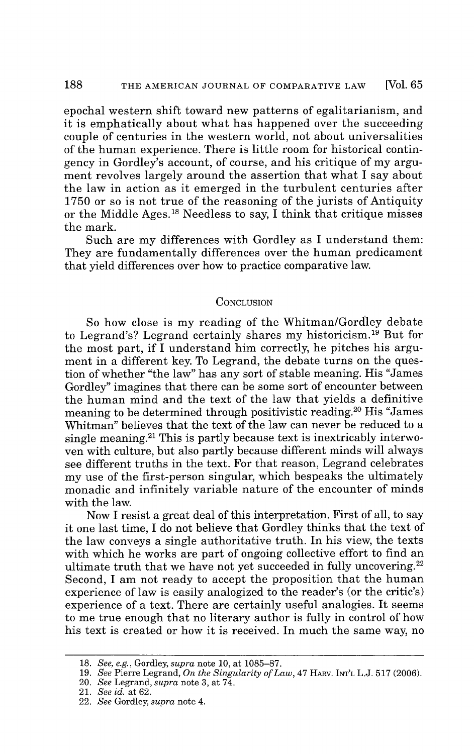epochal western shift toward new patterns of egalitarianism, and it is emphatically about what has happened over the succeeding couple of centuries in the western world, not about universalities of the human experience. There is little room for historical contingency in Gordley's account, of course, and his critique of my argument revolves largely around the assertion that what I say about the law in action as it emerged in the turbulent centuries after 1750 or so is not true of the reasoning of the jurists of Antiquity or the Middle Ages.<sup>18</sup> Needless to say, I think that critique misses the mark.

Such are my differences with Gordley as I understand them: They are fundamentally differences over the human predicament that yield differences over how to practice comparative law.

## **CONCLUSION**

So how close is my reading of the Whitman/Gordley debate to Legrand's? Legrand certainly shares my historicism.<sup>19</sup> But for the most part, if I understand him correctly, he pitches his argument in a different key. To Legrand, the debate turns on the question of whether "the law" has any sort of stable meaning. His "James Gordley" imagines that there can be some sort of encounter between the human mind and the text of the law that yields a definitive meaning to be determined through positivistic reading.<sup>20</sup> His "James" Whitman" believes that the text of the law can never be reduced to a single meaning.<sup>21</sup> This is partly because text is inextricably interwoven with culture, but also partly because different minds will always see different truths in the text. For that reason, Legrand celebrates my use of the first-person singular, which bespeaks the ultimately monadic and infinitely variable nature of the encounter of minds with the law.

Now I resist a great deal of this interpretation. First of all, to say it one last time, I do not believe that Gordley thinks that the text of the law conveys a single authoritative truth. In his view, the texts with which he works are part of ongoing collective effort to find an ultimate truth that we have not yet succeeded in fully uncovering.<sup>22</sup> Second, I am not ready to accept the proposition that the human experience of law is easily analogized to the reader's (or the critic's) experience of a text. There are certainly useful analogies. It seems to me true enough that no literary author is fully in control of how his text is created or how it is received. In much the same way, no

<sup>18.</sup> *See, e.g.,* Gordley, *supra* note 10, at 1085-87.

<sup>19.</sup> *See* Pierre Legrand, *On the Singularity of Law,* 47 HARV. INT'L L.J. 517 (2006).

<sup>20.</sup> *See* Legrand, *supra* note 3, at 74.

<sup>21.</sup> *See id.* at 62.

<sup>22.</sup> *See* Gordley, *supra* note 4.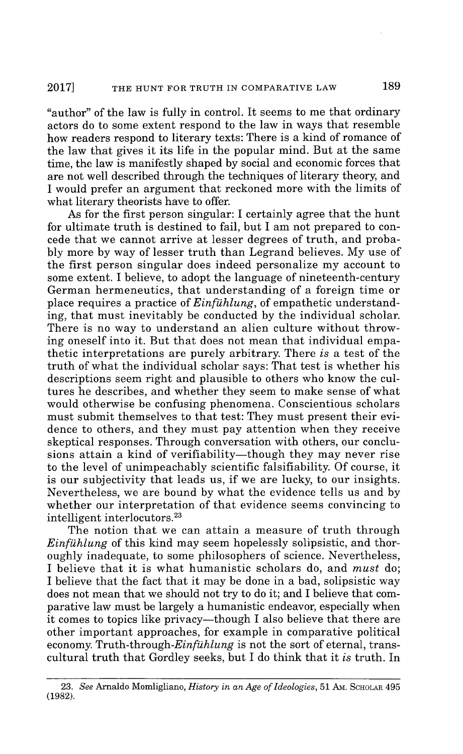"author" of the law is fully in control. It seems to me that ordinary actors do to some extent respond to the law in ways that resemble how readers respond to literary texts: There is a kind of romance of the law that gives it its life in the popular mind. But at the same time, the law is manifestly shaped by social and economic forces that are not well described through the techniques of literary theory, and I would prefer an argument that reckoned more with the limits of what literary theorists have to offer.

As for the first person singular: I certainly agree that the hunt for ultimate truth is destined to fail, but I am not prepared to concede that we cannot arrive at lesser degrees of truth, and probably more by way of lesser truth than Legrand believes. My use of the first person singular does indeed personalize my account to some extent. I believe, to adopt the language of nineteenth-century German hermeneutics, that understanding of a foreign time or place requires a practice of *Einfiihlung,* of empathetic understanding, that must inevitably be conducted by the individual scholar. There is no way to understand an alien culture without throwing oneself into it. But that does not mean that individual empathetic interpretations are purely arbitrary. There *is* a test of the truth of what the individual scholar says: That test is whether his descriptions seem right and plausible to others who know the cultures he describes, and whether they seem to make sense of what would otherwise be confusing phenomena. Conscientious scholars must submit themselves to that test: They must present their evidence to others, and they must pay attention when they receive skeptical responses. Through conversation with others, our conclusions attain a kind of verifiability—though they may never rise to the level of unimpeachably scientific falsifiability. Of course, it is our subjectivity that leads us, if we are lucky, to our insights. Nevertheless, we are bound by what the evidence tells us and by whether our interpretation of that evidence seems convincing to intelligent interlocutors.<sup>23</sup>

The notion that we can attain a measure of truth through *Einfiihlung* of this kind may seem hopelessly solipsistic, and thoroughly inadequate, to some philosophers of science. Nevertheless, I believe that it is what humanistic scholars do, and *must* do; I believe that the fact that it may be done in a bad, solipsistic way does not mean that we should not try to do it; and I believe that comparative law must be largely a humanistic endeavor, especially when it comes to topics like privacy—though I also believe that there are other important approaches, for example in comparative political economy. Truth-through-Einfühlung is not the sort of eternal, transcultural truth that Gordley seeks, but I do think that it *is* truth. In

<sup>23.</sup> *See* Arnaldo Momligliano, *History in an Age of Ideologies,* 51 Am. SCHOLAR 495 (1982).